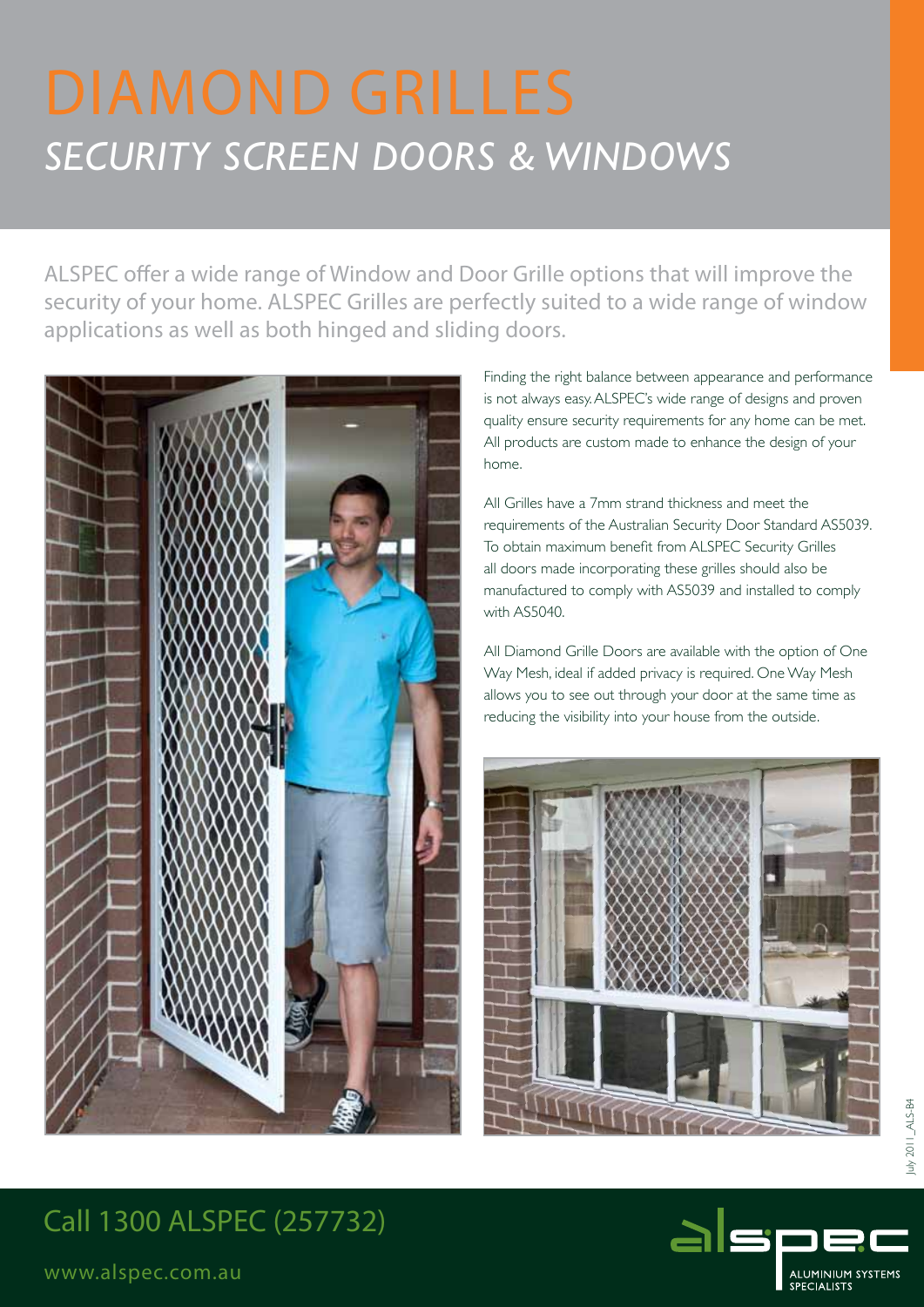# *SECURITY Screen doorS & WINDOWS*

ALSPEC offer a wide range of Window and Door Grille options that will improve the security of your home. ALSPEC Grilles are perfectly suited to a wide range of window applications as well as both hinged and sliding doors.



Finding the right balance between appearance and performance is not always easy. ALSPEC's wide range of designs and proven quality ensure security requirements for any home can be met. All products are custom made to enhance the design of your home.

All Grilles have a 7mm strand thickness and meet the requirements of the Australian Security Door Standard AS5039. To obtain maximum benefit from ALSPEC Security Grilles all doors made incorporating these grilles should also be manufactured to comply with AS5039 and installed to comply with AS5040.

All Diamond Grille Doors are available with the option of One Way Mesh, ideal if added privacy is required. One Way Mesh allows you to see out through your door at the same time as reducing the visibility into your house from the outside.



# Call 1300 ALSPEC (257732)



www.alspec.com.au